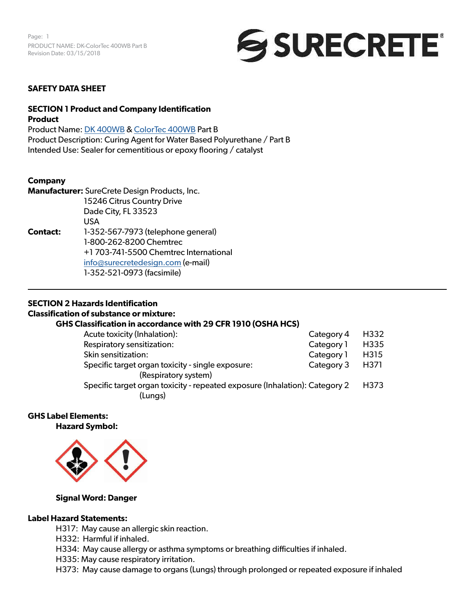Page: 1 PRODUCT NAME: DK-ColorTec 400WB Part B Revision Date: 03/15/2018



#### **SAFETY DATA SHEET**

#### **SECTION 1 Product and Company Identification Product**

Product Name: [DK 400WB](https://www.surecretedesign.com/product/wb-clear-floor-polyurethane/) & [ColorTec 400WB](https://www.surecretedesign.com/product/wb-colored-floor-polyurethane/) Part B Product Description: Curing Agent for Water Based Polyurethane / Part B Intended Use: Sealer for cementitious or epoxy flooring / catalyst

#### **Company**

**Manufacturer:** SureCrete Design Products, Inc. 15246 Citrus Country Drive Dade City, FL 33523 USA **Contact:** 1-352-567-7973 (telephone general) 1-800-262-8200 Chemtrec +1 703-741-5500 Chemtrec International [info@surecretedesign.com](mailto:info%40surecretedesign.com?subject=DK-ColorTec%20400WB%20Part%20B%20-%20SDS%20Inquiry) (e-mail) 1-352-521-0973 (facsimile)

#### **SECTION 2 Hazards Identification**

#### **Classification of substance or mixture:**

# **GHS Classification in accordance with 29 CFR 1910 (OSHA HCS)**

| Acute toxicity (Inhalation):                                                | Category 4 | H332             |
|-----------------------------------------------------------------------------|------------|------------------|
| Respiratory sensitization:                                                  | Category 1 | H <sub>335</sub> |
| Skin sensitization:                                                         | Category 1 | H315             |
| Specific target organ toxicity - single exposure:                           | Category 3 | H371             |
| (Respiratory system)                                                        |            |                  |
| Specific target organ toxicity - repeated exposure (Inhalation): Category 2 |            | H373             |
| (Lungs)                                                                     |            |                  |

# **GHS Label Elements:**

**Hazard Symbol:** 



#### **Signal Word: Danger**

#### **Label Hazard Statements:**

H317: May cause an allergic skin reaction.

- H332: Harmful if inhaled.
- H334: May cause allergy or asthma symptoms or breathing difficulties if inhaled.
- H335: May cause respiratory irritation.
- H373: May cause damage to organs (Lungs) through prolonged or repeated exposure if inhaled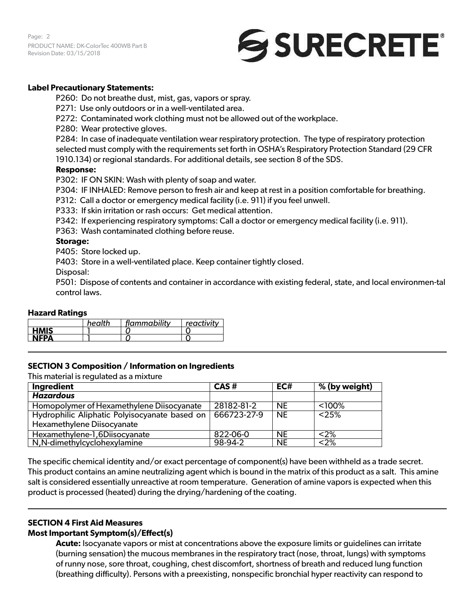Page: 2 PRODUCT NAME: DK-ColorTec 400WB Part B Revision Date: 03/15/2018

# SURECRETE®

### **Label Precautionary Statements:**

P260: Do not breathe dust, mist, gas, vapors or spray.

- P271: Use only outdoors or in a well-ventilated area.
- P272: Contaminated work clothing must not be allowed out of the workplace.
- P280: Wear protective gloves.

P284: In case of inadequate ventilation wear respiratory protection. The type of respiratory protection selected must comply with the requirements set forth in OSHA's Respiratory Protection Standard (29 CFR 1910.134) or regional standards. For additional details, see section 8 of the SDS.

#### **Response:**

P302: IF ON SKIN: Wash with plenty of soap and water.

P304: IF INHALED: Remove person to fresh air and keep at rest in a position comfortable for breathing.

P312: Call a doctor or emergency medical facility (i.e. 911) if you feel unwell.

P333: If skin irritation or rash occurs: Get medical attention.

P342: If experiencing respiratory symptoms: Call a doctor or emergency medical facility (i.e. 911).

P363: Wash contaminated clothing before reuse.

#### **Storage:**

P405: Store locked up.

P403: Store in a well-ventilated place. Keep container tightly closed.

Disposal:

P501: Dispose of contents and container in accordance with existing federal, state, and local environmen-tal control laws.

#### **Hazard Ratings**

|             | health | flammability | reactivity |
|-------------|--------|--------------|------------|
| <b>HMIS</b> |        |              |            |
| <b>NFPA</b> |        |              |            |

#### **SECTION 3 Composition / Information on Ingredients**

This material is regulated as a mixture

| Ingredient                                    | CAS#        | EC#       | % (by weight) |
|-----------------------------------------------|-------------|-----------|---------------|
| <b>Hazardous</b>                              |             |           |               |
| Homopolymer of Hexamethylene Diisocyanate     | 28182-81-2  | NE.       | $<$ 100%      |
| Hydrophilic Aliphatic Polyisocyanate based on | 666723-27-9 | <b>NE</b> | < 25%         |
| Hexamethylene Diisocyanate                    |             |           |               |
| Hexamethylene-1,6Diisocyanate                 | 822-06-0    | <b>NE</b> | $<$ 2%        |
| N, N-dimethylcyclohexylamine                  | 98-94-2     | <b>NE</b> | $<$ 2%        |

The specific chemical identity and/or exact percentage of component(s) have been withheld as a trade secret. This product contains an amine neutralizing agent which is bound in the matrix of this product as a salt. This amine salt is considered essentially unreactive at room temperature. Generation of amine vapors is expected when this product is processed (heated) during the drying/hardening of the coating.

# **SECTION 4 First Aid Measures**

#### **Most Important Symptom(s)/Effect(s)**

**Acute:** Isocyanate vapors or mist at concentrations above the exposure limits or guidelines can irritate (burning sensation) the mucous membranes in the respiratory tract (nose, throat, lungs) with symptoms of runny nose, sore throat, coughing, chest discomfort, shortness of breath and reduced lung function (breathing difficulty). Persons with a preexisting, nonspecific bronchial hyper reactivity can respond to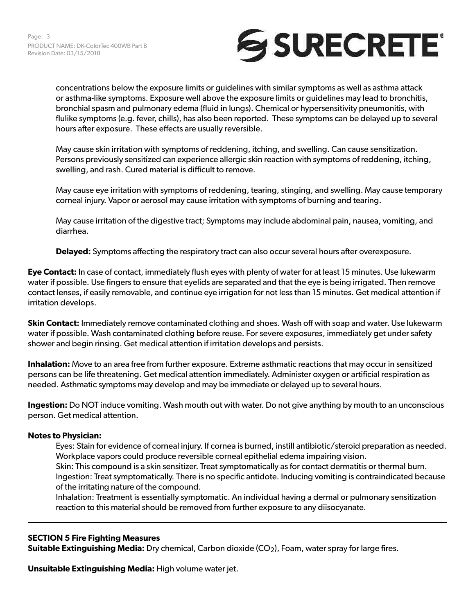

concentrations below the exposure limits or guidelines with similar symptoms as well as asthma attack or asthma-like symptoms. Exposure well above the exposure limits or guidelines may lead to bronchitis, bronchial spasm and pulmonary edema (fluid in lungs). Chemical or hypersensitivity pneumonitis, with flulike symptoms (e.g. fever, chills), has also been reported. These symptoms can be delayed up to several hours after exposure. These effects are usually reversible.

May cause skin irritation with symptoms of reddening, itching, and swelling. Can cause sensitization. Persons previously sensitized can experience allergic skin reaction with symptoms of reddening, itching, swelling, and rash. Cured material is difficult to remove.

May cause eye irritation with symptoms of reddening, tearing, stinging, and swelling. May cause temporary corneal injury. Vapor or aerosol may cause irritation with symptoms of burning and tearing.

May cause irritation of the digestive tract; Symptoms may include abdominal pain, nausea, vomiting, and diarrhea.

**Delayed:** Symptoms affecting the respiratory tract can also occur several hours after overexposure.

**Eye Contact:** In case of contact, immediately flush eyes with plenty of water for at least 15 minutes. Use lukewarm water if possible. Use fingers to ensure that eyelids are separated and that the eye is being irrigated. Then remove contact lenses, if easily removable, and continue eye irrigation for not less than 15 minutes. Get medical attention if irritation develops.

**Skin Contact:** Immediately remove contaminated clothing and shoes. Wash off with soap and water. Use lukewarm water if possible. Wash contaminated clothing before reuse. For severe exposures, immediately get under safety shower and begin rinsing. Get medical attention if irritation develops and persists.

**Inhalation:** Move to an area free from further exposure. Extreme asthmatic reactions that may occur in sensitized persons can be life threatening. Get medical attention immediately. Administer oxygen or artificial respiration as needed. Asthmatic symptoms may develop and may be immediate or delayed up to several hours.

**Ingestion:** Do NOT induce vomiting. Wash mouth out with water. Do not give anything by mouth to an unconscious person. Get medical attention.

#### **Notes to Physician:**

Eyes: Stain for evidence of corneal injury. If cornea is burned, instill antibiotic/steroid preparation as needed. Workplace vapors could produce reversible corneal epithelial edema impairing vision. Skin: This compound is a skin sensitizer. Treat symptomatically as for contact dermatitis or thermal burn. Ingestion: Treat symptomatically. There is no specific antidote. Inducing vomiting is contraindicated because of the irritating nature of the compound.

Inhalation: Treatment is essentially symptomatic. An individual having a dermal or pulmonary sensitization reaction to this material should be removed from further exposure to any diisocyanate.

#### **SECTION 5 Fire Fighting Measures**

**Suitable Extinguishing Media:** Dry chemical, Carbon dioxide (CO<sub>2</sub>), Foam, water spray for large fires.

**Unsuitable Extinguishing Media:** High volume water jet.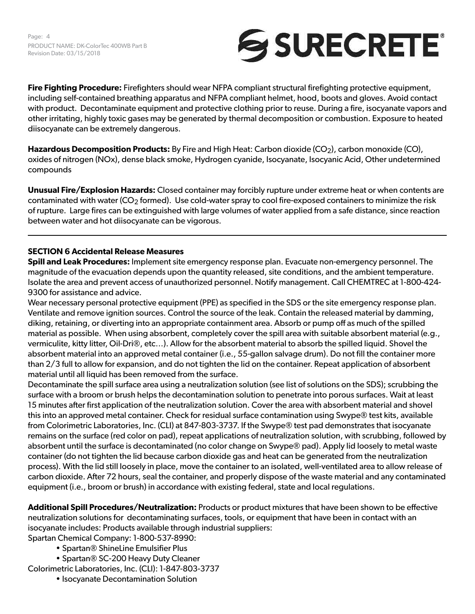

**Fire Fighting Procedure:** Firefighters should wear NFPA compliant structural firefighting protective equipment, including self-contained breathing apparatus and NFPA compliant helmet, hood, boots and gloves. Avoid contact with product. Decontaminate equipment and protective clothing prior to reuse. During a fire, isocyanate vapors and other irritating, highly toxic gases may be generated by thermal decomposition or combustion. Exposure to heated diisocyanate can be extremely dangerous.

**Hazardous Decomposition Products:** By Fire and High Heat: Carbon dioxide (CO<sub>2</sub>), carbon monoxide (CO), oxides of nitrogen (NOx), dense black smoke, Hydrogen cyanide, Isocyanate, Isocyanic Acid, Other undetermined compounds

**Unusual Fire/Explosion Hazards:** Closed container may forcibly rupture under extreme heat or when contents are contaminated with water ( $CO<sub>2</sub>$  formed). Use cold-water spray to cool fire-exposed containers to minimize the risk of rupture. Large fires can be extinguished with large volumes of water applied from a safe distance, since reaction between water and hot diisocyanate can be vigorous.

# **SECTION 6 Accidental Release Measures**

**Spill and Leak Procedures:** Implement site emergency response plan. Evacuate non-emergency personnel. The magnitude of the evacuation depends upon the quantity released, site conditions, and the ambient temperature. Isolate the area and prevent access of unauthorized personnel. Notify management. Call CHEMTREC at 1-800-424- 9300 for assistance and advice.

Wear necessary personal protective equipment (PPE) as specified in the SDS or the site emergency response plan. Ventilate and remove ignition sources. Control the source of the leak. Contain the released material by damming, diking, retaining, or diverting into an appropriate containment area. Absorb or pump off as much of the spilled material as possible. When using absorbent, completely cover the spill area with suitable absorbent material (e.g., vermiculite, kitty litter, Oil-Dri®, etc…). Allow for the absorbent material to absorb the spilled liquid. Shovel the absorbent material into an approved metal container (i.e., 55-gallon salvage drum). Do not fill the container more than 2/3 full to allow for expansion, and do not tighten the lid on the container. Repeat application of absorbent material until all liquid has been removed from the surface.

Decontaminate the spill surface area using a neutralization solution (see list of solutions on the SDS); scrubbing the surface with a broom or brush helps the decontamination solution to penetrate into porous surfaces. Wait at least 15 minutes after first application of the neutralization solution. Cover the area with absorbent material and shovel this into an approved metal container. Check for residual surface contamination using Swype® test kits, available from Colorimetric Laboratories, Inc. (CLI) at 847-803-3737. If the Swype® test pad demonstrates that isocyanate remains on the surface (red color on pad), repeat applications of neutralization solution, with scrubbing, followed by absorbent until the surface is decontaminated (no color change on Swype® pad). Apply lid loosely to metal waste container (do not tighten the lid because carbon dioxide gas and heat can be generated from the neutralization process). With the lid still loosely in place, move the container to an isolated, well-ventilated area to allow release of carbon dioxide. After 72 hours, seal the container, and properly dispose of the waste material and any contaminated equipment (i.e., broom or brush) in accordance with existing federal, state and local regulations.

**Additional Spill Procedures/Neutralization:** Products or product mixtures that have been shown to be effective neutralization solutions for decontaminating surfaces, tools, or equipment that have been in contact with an isocyanate includes: Products available through industrial suppliers:

Spartan Chemical Company: 1-800-537-8990:

- Spartan® ShineLine Emulsifier Plus
- Spartan® SC-200 Heavy Duty Cleaner

Colorimetric Laboratories, Inc. (CLI): 1-847-803-3737

• Isocyanate Decontamination Solution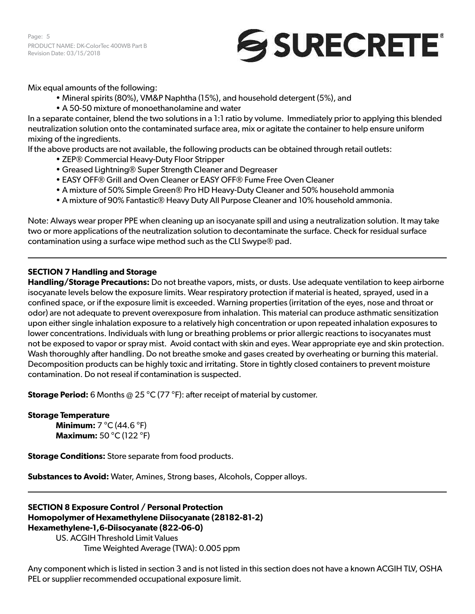Page: 5 PRODUCT NAME: DK-ColorTec 400WB Part B Revision Date: 03/15/2018



Mix equal amounts of the following:

- Mineral spirits (80%), VM&P Naphtha (15%), and household detergent (5%), and
- A 50-50 mixture of monoethanolamine and water

In a separate container, blend the two solutions in a 1:1 ratio by volume. Immediately prior to applying this blended neutralization solution onto the contaminated surface area, mix or agitate the container to help ensure uniform mixing of the ingredients.

If the above products are not available, the following products can be obtained through retail outlets:

- ZEP® Commercial Heavy-Duty Floor Stripper
- Greased Lightning® Super Strength Cleaner and Degreaser
- EASY OFF® Grill and Oven Cleaner or EASY OFF® Fume Free Oven Cleaner
- A mixture of 50% Simple Green® Pro HD Heavy-Duty Cleaner and 50% household ammonia
- A mixture of 90% Fantastic® Heavy Duty All Purpose Cleaner and 10% household ammonia.

Note: Always wear proper PPE when cleaning up an isocyanate spill and using a neutralization solution. It may take two or more applications of the neutralization solution to decontaminate the surface. Check for residual surface contamination using a surface wipe method such as the CLI Swype® pad.

#### **SECTION 7 Handling and Storage**

**Handling/Storage Precautions:** Do not breathe vapors, mists, or dusts. Use adequate ventilation to keep airborne isocyanate levels below the exposure limits. Wear respiratory protection if material is heated, sprayed, used in a confined space, or if the exposure limit is exceeded. Warning properties (irritation of the eyes, nose and throat or odor) are not adequate to prevent overexposure from inhalation. This material can produce asthmatic sensitization upon either single inhalation exposure to a relatively high concentration or upon repeated inhalation exposures to lower concentrations. Individuals with lung or breathing problems or prior allergic reactions to isocyanates must not be exposed to vapor or spray mist. Avoid contact with skin and eyes. Wear appropriate eye and skin protection. Wash thoroughly after handling. Do not breathe smoke and gases created by overheating or burning this material. Decomposition products can be highly toxic and irritating. Store in tightly closed containers to prevent moisture contamination. Do not reseal if contamination is suspected.

**Storage Period:** 6 Months @ 25 °C (77 °F): after receipt of material by customer.

#### **Storage Temperature**

**Minimum:** 7 °C (44.6 °F) **Maximum:** 50 °C (122 °F)

**Storage Conditions:** Store separate from food products.

**Substances to Avoid:** Water, Amines, Strong bases, Alcohols, Copper alloys.

# **SECTION 8 Exposure Control / Personal Protection Homopolymer of Hexamethylene Diisocyanate (28182-81-2) Hexamethylene-1,6-Diisocyanate (822-06-0)**

US. ACGIH Threshold Limit Values Time Weighted Average (TWA): 0.005 ppm

Any component which is listed in section 3 and is not listed in this section does not have a known ACGIH TLV, OSHA PEL or supplier recommended occupational exposure limit.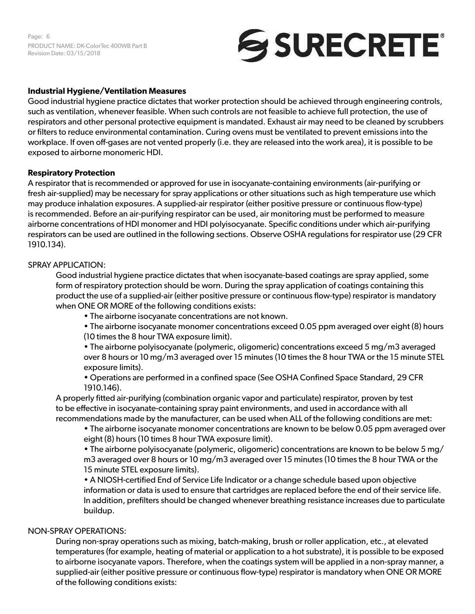Page: 6 PRODUCT NAME: DK-ColorTec 400WB Part B Revision Date: 03/15/2018

# SURECRETE®

#### **Industrial Hygiene/Ventilation Measures**

Good industrial hygiene practice dictates that worker protection should be achieved through engineering controls, such as ventilation, whenever feasible. When such controls are not feasible to achieve full protection, the use of respirators and other personal protective equipment is mandated. Exhaust air may need to be cleaned by scrubbers or filters to reduce environmental contamination. Curing ovens must be ventilated to prevent emissions into the workplace. If oven off-gases are not vented properly (i.e. they are released into the work area), it is possible to be exposed to airborne monomeric HDI.

#### **Respiratory Protection**

A respirator that is recommended or approved for use in isocyanate-containing environments (air-purifying or fresh air-supplied) may be necessary for spray applications or other situations such as high temperature use which may produce inhalation exposures. A supplied-air respirator (either positive pressure or continuous flow-type) is recommended. Before an air-purifying respirator can be used, air monitoring must be performed to measure airborne concentrations of HDI monomer and HDI polyisocyanate. Specific conditions under which air-purifying respirators can be used are outlined in the following sections. Observe OSHA regulations for respirator use (29 CFR 1910.134).

#### SPRAY APPLICATION:

Good industrial hygiene practice dictates that when isocyanate-based coatings are spray applied, some form of respiratory protection should be worn. During the spray application of coatings containing this product the use of a supplied-air (either positive pressure or continuous flow-type) respirator is mandatory when ONE OR MORE of the following conditions exists:

• The airborne isocyanate concentrations are not known.

• The airborne isocyanate monomer concentrations exceed 0.05 ppm averaged over eight (8) hours (10 times the 8 hour TWA exposure limit).

• The airborne polyisocyanate (polymeric, oligomeric) concentrations exceed 5 mg/m3 averaged over 8 hours or 10 mg/m3 averaged over 15 minutes (10 times the 8 hour TWA or the 15 minute STEL exposure limits).

• Operations are performed in a confined space (See OSHA Confined Space Standard, 29 CFR 1910.146).

A properly fitted air-purifying (combination organic vapor and particulate) respirator, proven by test to be effective in isocyanate-containing spray paint environments, and used in accordance with all recommendations made by the manufacturer, can be used when ALL of the following conditions are met:

• The airborne isocyanate monomer concentrations are known to be below 0.05 ppm averaged over eight (8) hours (10 times 8 hour TWA exposure limit).

• The airborne polyisocyanate (polymeric, oligomeric) concentrations are known to be below 5 mg/ m3 averaged over 8 hours or 10 mg/m3 averaged over 15 minutes (10 times the 8 hour TWA or the 15 minute STEL exposure limits).

• A NIOSH-certified End of Service Life Indicator or a change schedule based upon objective information or data is used to ensure that cartridges are replaced before the end of their service life. In addition, prefilters should be changed whenever breathing resistance increases due to particulate buildup.

#### NON-SPRAY OPERATIONS:

During non-spray operations such as mixing, batch-making, brush or roller application, etc., at elevated temperatures (for example, heating of material or application to a hot substrate), it is possible to be exposed to airborne isocyanate vapors. Therefore, when the coatings system will be applied in a non-spray manner, a supplied-air (either positive pressure or continuous flow-type) respirator is mandatory when ONE OR MORE of the following conditions exists: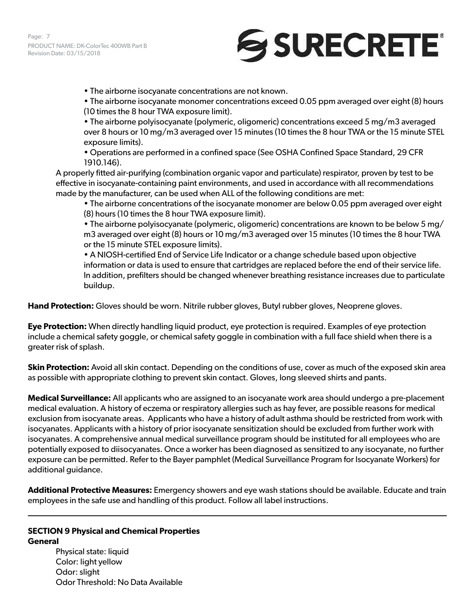# SURECRETE®

• The airborne isocyanate concentrations are not known.

• The airborne isocyanate monomer concentrations exceed 0.05 ppm averaged over eight (8) hours (10 times the 8 hour TWA exposure limit).

• The airborne polyisocyanate (polymeric, oligomeric) concentrations exceed 5 mg/m3 averaged over 8 hours or 10 mg/m3 averaged over 15 minutes (10 times the 8 hour TWA or the 15 minute STEL exposure limits).

• Operations are performed in a confined space (See OSHA Confined Space Standard, 29 CFR 1910.146).

A properly fitted air-purifying (combination organic vapor and particulate) respirator, proven by test to be effective in isocyanate-containing paint environments, and used in accordance with all recommendations made by the manufacturer, can be used when ALL of the following conditions are met:

• The airborne concentrations of the isocyanate monomer are below 0.05 ppm averaged over eight (8) hours (10 times the 8 hour TWA exposure limit).

• The airborne polyisocyanate (polymeric, oligomeric) concentrations are known to be below 5 mg/ m3 averaged over eight (8) hours or 10 mg/m3 averaged over 15 minutes (10 times the 8 hour TWA or the 15 minute STEL exposure limits).

• A NIOSH-certified End of Service Life Indicator or a change schedule based upon objective information or data is used to ensure that cartridges are replaced before the end of their service life. In addition, prefilters should be changed whenever breathing resistance increases due to particulate buildup.

**Hand Protection:** Gloves should be worn. Nitrile rubber gloves, Butyl rubber gloves, Neoprene gloves.

**Eye Protection:** When directly handling liquid product, eye protection is required. Examples of eye protection include a chemical safety goggle, or chemical safety goggle in combination with a full face shield when there is a greater risk of splash.

**Skin Protection:** Avoid all skin contact. Depending on the conditions of use, cover as much of the exposed skin area as possible with appropriate clothing to prevent skin contact. Gloves, long sleeved shirts and pants.

**Medical Surveillance:** All applicants who are assigned to an isocyanate work area should undergo a pre-placement medical evaluation. A history of eczema or respiratory allergies such as hay fever, are possible reasons for medical exclusion from isocyanate areas. Applicants who have a history of adult asthma should be restricted from work with isocyanates. Applicants with a history of prior isocyanate sensitization should be excluded from further work with isocyanates. A comprehensive annual medical surveillance program should be instituted for all employees who are potentially exposed to diisocyanates. Once a worker has been diagnosed as sensitized to any isocyanate, no further exposure can be permitted. Refer to the Bayer pamphlet (Medical Surveillance Program for Isocyanate Workers) for additional guidance.

**Additional Protective Measures:** Emergency showers and eye wash stations should be available. Educate and train employees in the safe use and handling of this product. Follow all label instructions.

#### **SECTION 9 Physical and Chemical Properties General**

Physical state: liquid Color: light yellow Odor: slight Odor Threshold: No Data Available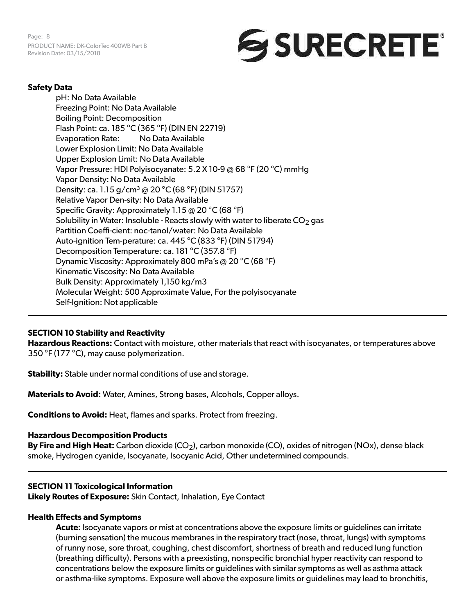

### **Safety Data**

pH: No Data Available Freezing Point: No Data Available Boiling Point: Decomposition Flash Point: ca. 185 °C (365 °F) (DIN EN 22719) Evaporation Rate: No Data Available Lower Explosion Limit: No Data Available Upper Explosion Limit: No Data Available Vapor Pressure: HDI Polyisocyanate: 5.2 X 10-9 @ 68 °F (20 °C) mmHg Vapor Density: No Data Available Density: ca. 1.15 g/cm<sup>3</sup> @ 20 °C (68 °F) (DIN 51757) Relative Vapor Den-sity: No Data Available Specific Gravity: Approximately 1.15 @ 20 °C (68 °F) Solubility in Water: Insoluble - Reacts slowly with water to liberate  $CO<sub>2</sub>$  gas Partition Coeffi-cient: noc-tanol/water: No Data Available Auto-ignition Tem-perature: ca. 445 °C (833 °F) (DIN 51794) Decomposition Temperature: ca. 181 °C (357.8 °F) Dynamic Viscosity: Approximately 800 mPa's @ 20 °C (68 °F) Kinematic Viscosity: No Data Available Bulk Density: Approximately 1,150 kg/m3 Molecular Weight: 500 Approximate Value, For the polyisocyanate Self-Ignition: Not applicable

#### **SECTION 10 Stability and Reactivity**

**Hazardous Reactions:** Contact with moisture, other materials that react with isocyanates, or temperatures above 350 °F (177 °C), may cause polymerization.

**Stability:** Stable under normal conditions of use and storage.

**Materials to Avoid:** Water, Amines, Strong bases, Alcohols, Copper alloys.

**Conditions to Avoid:** Heat, flames and sparks. Protect from freezing.

#### **Hazardous Decomposition Products**

By Fire and High Heat: Carbon dioxide (CO<sub>2</sub>), carbon monoxide (CO), oxides of nitrogen (NOx), dense black smoke, Hydrogen cyanide, Isocyanate, Isocyanic Acid, Other undetermined compounds.

#### **SECTION 11 Toxicological Information**

**Likely Routes of Exposure:** Skin Contact, Inhalation, Eye Contact

#### **Health Effects and Symptoms**

**Acute:** Isocyanate vapors or mist at concentrations above the exposure limits or guidelines can irritate (burning sensation) the mucous membranes in the respiratory tract (nose, throat, lungs) with symptoms of runny nose, sore throat, coughing, chest discomfort, shortness of breath and reduced lung function (breathing difficulty). Persons with a preexisting, nonspecific bronchial hyper reactivity can respond to concentrations below the exposure limits or guidelines with similar symptoms as well as asthma attack or asthma-like symptoms. Exposure well above the exposure limits or guidelines may lead to bronchitis,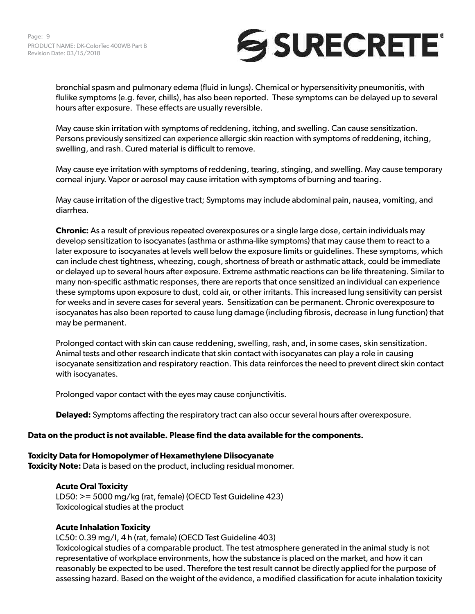

bronchial spasm and pulmonary edema (fluid in lungs). Chemical or hypersensitivity pneumonitis, with flulike symptoms (e.g. fever, chills), has also been reported. These symptoms can be delayed up to several hours after exposure. These effects are usually reversible.

May cause skin irritation with symptoms of reddening, itching, and swelling. Can cause sensitization. Persons previously sensitized can experience allergic skin reaction with symptoms of reddening, itching, swelling, and rash. Cured material is difficult to remove.

May cause eye irritation with symptoms of reddening, tearing, stinging, and swelling. May cause temporary corneal injury. Vapor or aerosol may cause irritation with symptoms of burning and tearing.

May cause irritation of the digestive tract; Symptoms may include abdominal pain, nausea, vomiting, and diarrhea.

**Chronic:** As a result of previous repeated overexposures or a single large dose, certain individuals may develop sensitization to isocyanates (asthma or asthma-like symptoms) that may cause them to react to a later exposure to isocyanates at levels well below the exposure limits or guidelines. These symptoms, which can include chest tightness, wheezing, cough, shortness of breath or asthmatic attack, could be immediate or delayed up to several hours after exposure. Extreme asthmatic reactions can be life threatening. Similar to many non-specific asthmatic responses, there are reports that once sensitized an individual can experience these symptoms upon exposure to dust, cold air, or other irritants. This increased lung sensitivity can persist for weeks and in severe cases for several years. Sensitization can be permanent. Chronic overexposure to isocyanates has also been reported to cause lung damage (including fibrosis, decrease in lung function) that may be permanent.

Prolonged contact with skin can cause reddening, swelling, rash, and, in some cases, skin sensitization. Animal tests and other research indicate that skin contact with isocyanates can play a role in causing isocyanate sensitization and respiratory reaction. This data reinforces the need to prevent direct skin contact with isocyanates.

Prolonged vapor contact with the eyes may cause conjunctivitis.

**Delayed:** Symptoms affecting the respiratory tract can also occur several hours after overexposure.

#### **Data on the product is not available. Please find the data available for the components.**

#### **Toxicity Data for Homopolymer of Hexamethylene Diisocyanate**

**Toxicity Note:** Data is based on the product, including residual monomer.

#### **Acute Oral Toxicity**

LD50: >= 5000 mg/kg (rat, female) (OECD Test Guideline 423) Toxicological studies at the product

#### **Acute Inhalation Toxicity**

LC50: 0.39 mg/l, 4 h (rat, female) (OECD Test Guideline 403)

Toxicological studies of a comparable product. The test atmosphere generated in the animal study is not representative of workplace environments, how the substance is placed on the market, and how it can reasonably be expected to be used. Therefore the test result cannot be directly applied for the purpose of assessing hazard. Based on the weight of the evidence, a modified classification for acute inhalation toxicity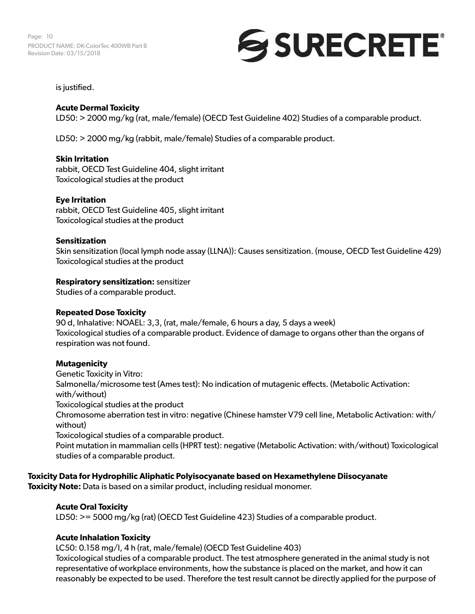Page: 10 PRODUCT NAME: DK-ColorTec 400WB Part B Revision Date: 03/15/2018

# SURECRETE®

is justified.

# **Acute Dermal Toxicity**

LD50: > 2000 mg/kg (rat, male/female) (OECD Test Guideline 402) Studies of a comparable product.

LD50: > 2000 mg/kg (rabbit, male/female) Studies of a comparable product.

# **Skin Irritation**

rabbit, OECD Test Guideline 404, slight irritant Toxicological studies at the product

# **Eye Irritation**

rabbit, OECD Test Guideline 405, slight irritant Toxicological studies at the product

#### **Sensitization**

Skin sensitization (local lymph node assay (LLNA)): Causes sensitization. (mouse, OECD Test Guideline 429) Toxicological studies at the product

# **Respiratory sensitization:** sensitizer

Studies of a comparable product.

#### **Repeated Dose Toxicity**

90 d, Inhalative: NOAEL: 3,3, (rat, male/female, 6 hours a day, 5 days a week) Toxicological studies of a comparable product. Evidence of damage to organs other than the organs of respiration was not found.

# **Mutagenicity**

Genetic Toxicity in Vitro:

Salmonella/microsome test (Ames test): No indication of mutagenic effects. (Metabolic Activation: with/without)

Toxicological studies at the product

Chromosome aberration test in vitro: negative (Chinese hamster V79 cell line, Metabolic Activation: with/ without)

Toxicological studies of a comparable product.

Point mutation in mammalian cells (HPRT test): negative (Metabolic Activation: with/without) Toxicological studies of a comparable product.

# **Toxicity Data for Hydrophilic Aliphatic Polyisocyanate based on Hexamethylene Diisocyanate**

**Toxicity Note:** Data is based on a similar product, including residual monomer.

# **Acute Oral Toxicity**

LD50: >= 5000 mg/kg (rat) (OECD Test Guideline 423) Studies of a comparable product.

# **Acute Inhalation Toxicity**

LC50: 0.158 mg/l, 4 h (rat, male/female) (OECD Test Guideline 403)

Toxicological studies of a comparable product. The test atmosphere generated in the animal study is not representative of workplace environments, how the substance is placed on the market, and how it can reasonably be expected to be used. Therefore the test result cannot be directly applied for the purpose of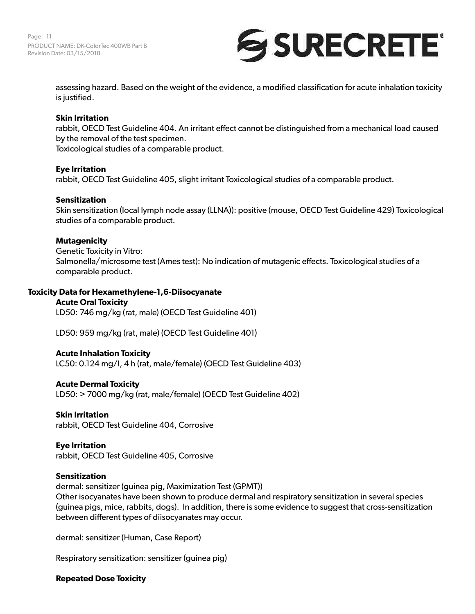Page: 11 PRODUCT NAME: DK-ColorTec 400WB Part B Revision Date: 03/15/2018



assessing hazard. Based on the weight of the evidence, a modified classification for acute inhalation toxicity is justified.

#### **Skin Irritation**

rabbit, OECD Test Guideline 404. An irritant effect cannot be distinguished from a mechanical load caused by the removal of the test specimen.

Toxicological studies of a comparable product.

#### **Eye Irritation**

rabbit, OECD Test Guideline 405, slight irritant Toxicological studies of a comparable product.

#### **Sensitization**

Skin sensitization (local lymph node assay (LLNA)): positive (mouse, OECD Test Guideline 429) Toxicological studies of a comparable product.

#### **Mutagenicity**

Genetic Toxicity in Vitro: Salmonella/microsome test (Ames test): No indication of mutagenic effects. Toxicological studies of a comparable product.

#### **Toxicity Data for Hexamethylene-1,6-Diisocyanate**

#### **Acute Oral Toxicity**

LD50: 746 mg/kg (rat, male) (OECD Test Guideline 401)

LD50: 959 mg/kg (rat, male) (OECD Test Guideline 401)

#### **Acute Inhalation Toxicity**

LC50: 0.124 mg/l, 4 h (rat, male/female) (OECD Test Guideline 403)

#### **Acute Dermal Toxicity**

LD50: > 7000 mg/kg (rat, male/female) (OECD Test Guideline 402)

#### **Skin Irritation**

rabbit, OECD Test Guideline 404, Corrosive

#### **Eye Irritation**  rabbit, OECD Test Guideline 405, Corrosive

#### **Sensitization**

dermal: sensitizer (guinea pig, Maximization Test (GPMT)) Other isocyanates have been shown to produce dermal and respiratory sensitization in several species (guinea pigs, mice, rabbits, dogs). In addition, there is some evidence to suggest that cross-sensitization between different types of diisocyanates may occur.

dermal: sensitizer (Human, Case Report)

Respiratory sensitization: sensitizer (guinea pig)

#### **Repeated Dose Toxicity**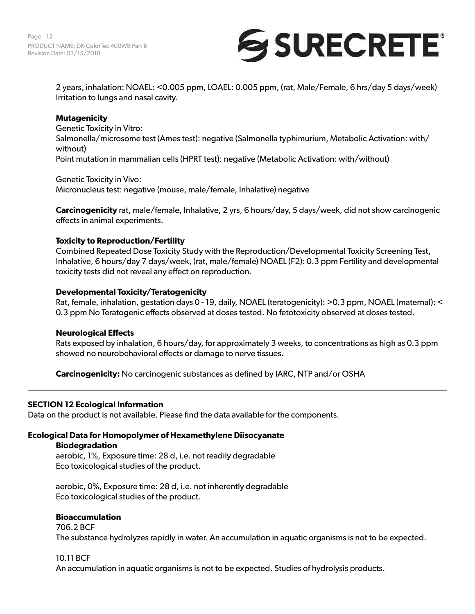

2 years, inhalation: NOAEL: <0.005 ppm, LOAEL: 0.005 ppm, (rat, Male/Female, 6 hrs/day 5 days/week) Irritation to lungs and nasal cavity.

### **Mutagenicity**

Genetic Toxicity in Vitro: Salmonella/microsome test (Ames test): negative (Salmonella typhimurium, Metabolic Activation: with/ without) Point mutation in mammalian cells (HPRT test): negative (Metabolic Activation: with/without)

Genetic Toxicity in Vivo: Micronucleus test: negative (mouse, male/female, Inhalative) negative

**Carcinogenicity** rat, male/female, Inhalative, 2 yrs, 6 hours/day, 5 days/week, did not show carcinogenic effects in animal experiments.

#### **Toxicity to Reproduction/Fertility**

Combined Repeated Dose Toxicity Study with the Reproduction/Developmental Toxicity Screening Test, Inhalative, 6 hours/day 7 days/week, (rat, male/female) NOAEL (F2): 0.3 ppm Fertility and developmental toxicity tests did not reveal any effect on reproduction.

#### **Developmental Toxicity/Teratogenicity**

Rat, female, inhalation, gestation days 0 - 19, daily, NOAEL (teratogenicity): >0.3 ppm, NOAEL (maternal): < 0.3 ppm No Teratogenic effects observed at doses tested. No fetotoxicity observed at doses tested.

#### **Neurological Effects**

Rats exposed by inhalation, 6 hours/day, for approximately 3 weeks, to concentrations as high as 0.3 ppm showed no neurobehavioral effects or damage to nerve tissues.

**Carcinogenicity:** No carcinogenic substances as defined by IARC, NTP and/or OSHA

#### **SECTION 12 Ecological Information**

Data on the product is not available. Please find the data available for the components.

# **Ecological Data for Homopolymer of Hexamethylene Diisocyanate**

**Biodegradation** 

aerobic, 1%, Exposure time: 28 d, i.e. not readily degradable Eco toxicological studies of the product.

aerobic, 0%, Exposure time: 28 d, i.e. not inherently degradable Eco toxicological studies of the product.

#### **Bioaccumulation**

706.2 BCF

The substance hydrolyzes rapidly in water. An accumulation in aquatic organisms is not to be expected.

#### 10.11 BCF

An accumulation in aquatic organisms is not to be expected. Studies of hydrolysis products.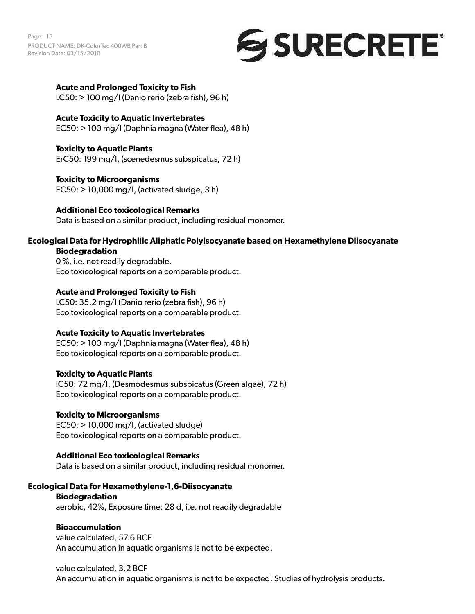Page: 13 PRODUCT NAME: DK-ColorTec 400WB Part B Revision Date: 03/15/2018



#### **Acute and Prolonged Toxicity to Fish**

LC50: > 100 mg/l (Danio rerio (zebra fish), 96 h)

#### **Acute Toxicity to Aquatic Invertebrates**

EC50: > 100 mg/l (Daphnia magna (Water flea), 48 h)

# **Toxicity to Aquatic Plants**

ErC50: 199 mg/l, (scenedesmus subspicatus, 72 h)

#### **Toxicity to Microorganisms**

 $EC50:$  > 10,000 mg/l, (activated sludge, 3 h)

#### **Additional Eco toxicological Remarks**

Data is based on a similar product, including residual monomer.

#### **Ecological Data for Hydrophilic Aliphatic Polyisocyanate based on Hexamethylene Diisocyanate Biodegradation**

0 %, i.e. not readily degradable. Eco toxicological reports on a comparable product.

#### **Acute and Prolonged Toxicity to Fish**

LC50: 35.2 mg/l (Danio rerio (zebra fish), 96 h) Eco toxicological reports on a comparable product.

#### **Acute Toxicity to Aquatic Invertebrates**

EC50: > 100 mg/l (Daphnia magna (Water flea), 48 h) Eco toxicological reports on a comparable product.

#### **Toxicity to Aquatic Plants**

IC50: 72 mg/l, (Desmodesmus subspicatus (Green algae), 72 h) Eco toxicological reports on a comparable product.

#### **Toxicity to Microorganisms**

EC50: > 10,000 mg/l, (activated sludge) Eco toxicological reports on a comparable product.

#### **Additional Eco toxicological Remarks**

Data is based on a similar product, including residual monomer.

#### **Ecological Data for Hexamethylene-1,6-Diisocyanate**

#### **Biodegradation**

aerobic, 42%, Exposure time: 28 d, i.e. not readily degradable

#### **Bioaccumulation**

value calculated, 57.6 BCF An accumulation in aquatic organisms is not to be expected.

#### value calculated, 3.2 BCF

An accumulation in aquatic organisms is not to be expected. Studies of hydrolysis products.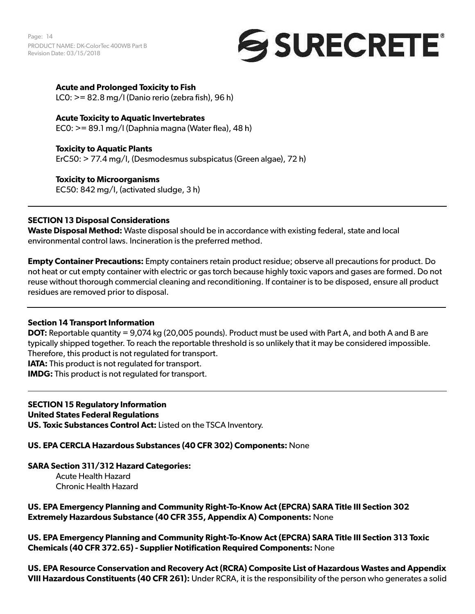Page: 14 PRODUCT NAME: DK-ColorTec 400WB Part B Revision Date: 03/15/2018



# **Acute and Prolonged Toxicity to Fish**

LC0: >= 82.8 mg/l (Danio rerio (zebra fish), 96 h)

# **Acute Toxicity to Aquatic Invertebrates**

EC0: >= 89.1 mg/l (Daphnia magna (Water flea), 48 h)

**Toxicity to Aquatic Plants**  ErC50: > 77.4 mg/l, (Desmodesmus subspicatus (Green algae), 72 h)

**Toxicity to Microorganisms**  EC50: 842 mg/l, (activated sludge, 3 h)

# **SECTION 13 Disposal Considerations**

**Waste Disposal Method:** Waste disposal should be in accordance with existing federal, state and local environmental control laws. Incineration is the preferred method.

**Empty Container Precautions:** Empty containers retain product residue; observe all precautions for product. Do not heat or cut empty container with electric or gas torch because highly toxic vapors and gases are formed. Do not reuse without thorough commercial cleaning and reconditioning. If container is to be disposed, ensure all product residues are removed prior to disposal.

#### **Section 14 Transport Information**

**DOT:** Reportable quantity = 9,074 kg (20,005 pounds). Product must be used with Part A, and both A and B are typically shipped together. To reach the reportable threshold is so unlikely that it may be considered impossible. Therefore, this product is not regulated for transport.

**IATA:** This product is not regulated for transport.

**IMDG:** This product is not regulated for transport.

# **SECTION 15 Regulatory Information**

#### **United States Federal Regulations**

**US. Toxic Substances Control Act:** Listed on the TSCA Inventory.

#### **US. EPA CERCLA Hazardous Substances (40 CFR 302) Components:** None

#### **SARA Section 311/312 Hazard Categories:**

Acute Health Hazard Chronic Health Hazard

**US. EPA Emergency Planning and Community Right-To-Know Act (EPCRA) SARA Title III Section 302 Extremely Hazardous Substance (40 CFR 355, Appendix A) Components:** None

**US. EPA Emergency Planning and Community Right-To-Know Act (EPCRA) SARA Title III Section 313 Toxic Chemicals (40 CFR 372.65) - Supplier Notification Required Components:** None

**US. EPA Resource Conservation and Recovery Act (RCRA) Composite List of Hazardous Wastes and Appendix VIII Hazardous Constituents (40 CFR 261):** Under RCRA, it is the responsibility of the person who generates a solid